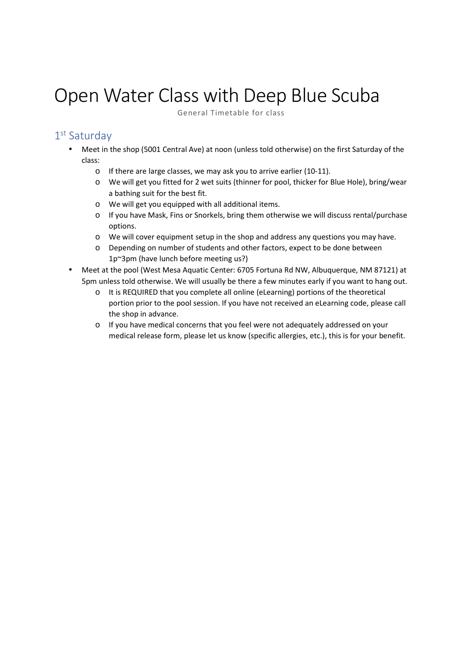## Open Water Class with Deep Blue Scuba

General Timetable for class

## 1 st Saturday

- Meet in the shop (5001 Central Ave) at noon (unless told otherwise) on the first Saturday of the class:
	- o If there are large classes, we may ask you to arrive earlier (10-11).
	- o We will get you fitted for 2 wet suits (thinner for pool, thicker for Blue Hole), bring/wear a bathing suit for the best fit.
	- o We will get you equipped with all additional items.
	- o If you have Mask, Fins or Snorkels, bring them otherwise we will discuss rental/purchase options.
	- o We will cover equipment setup in the shop and address any questions you may have.
	- o Depending on number of students and other factors, expect to be done between 1p~3pm (have lunch before meeting us?)
- Meet at the pool (West Mesa Aquatic Center: 6705 Fortuna Rd NW, Albuquerque, NM 87121) at 5pm unless told otherwise. We will usually be there a few minutes early if you want to hang out.
	- o It is REQUIRED that you complete all online (eLearning) portions of the theoretical portion prior to the pool session. If you have not received an eLearning code, please call the shop in advance.
	- o If you have medical concerns that you feel were not adequately addressed on your medical release form, please let us know (specific allergies, etc.), this is for your benefit.